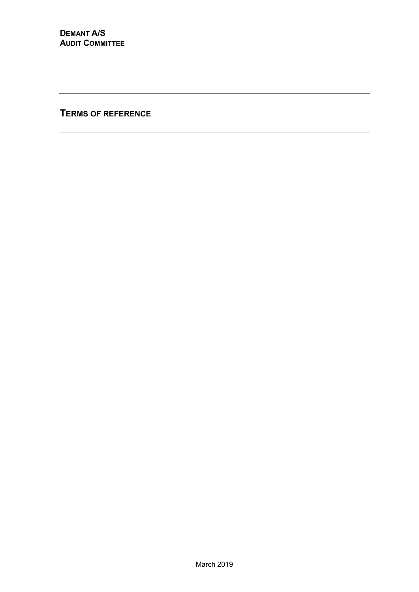**TERMS OF REFERENCE**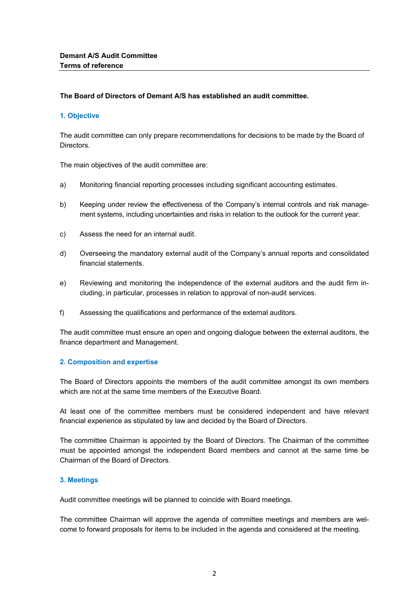## **The Board of Directors of Demant A/S has established an audit committee.**

## **1. Objective**

The audit committee can only prepare recommendations for decisions to be made by the Board of **Directors** 

The main objectives of the audit committee are:

- a) Monitoring financial reporting processes including significant accounting estimates.
- b) Keeping under review the effectiveness of the Company's internal controls and risk management systems, including uncertainties and risks in relation to the outlook for the current year.
- c) Assess the need for an internal audit.
- d) Overseeing the mandatory external audit of the Company's annual reports and consolidated financial statements.
- e) Reviewing and monitoring the independence of the external auditors and the audit firm including, in particular, processes in relation to approval of non-audit services.
- f) Assessing the qualifications and performance of the external auditors.

The audit committee must ensure an open and ongoing dialogue between the external auditors, the finance department and Management.

## **2. Composition and expertise**

The Board of Directors appoints the members of the audit committee amongst its own members which are not at the same time members of the Executive Board.

At least one of the committee members must be considered independent and have relevant financial experience as stipulated by law and decided by the Board of Directors.

The committee Chairman is appointed by the Board of Directors. The Chairman of the committee must be appointed amongst the independent Board members and cannot at the same time be Chairman of the Board of Directors.

## **3. Meetings**

Audit committee meetings will be planned to coincide with Board meetings.

The committee Chairman will approve the agenda of committee meetings and members are welcome to forward proposals for items to be included in the agenda and considered at the meeting.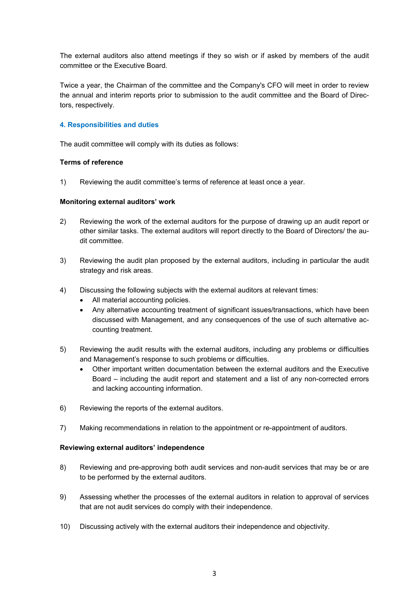The external auditors also attend meetings if they so wish or if asked by members of the audit committee or the Executive Board.

Twice a year, the Chairman of the committee and the Company's CFO will meet in order to review the annual and interim reports prior to submission to the audit committee and the Board of Directors, respectively.

# **4. Responsibilities and duties**

The audit committee will comply with its duties as follows:

## **Terms of reference**

1) Reviewing the audit committee's terms of reference at least once a year.

## **Monitoring external auditors' work**

- 2) Reviewing the work of the external auditors for the purpose of drawing up an audit report or other similar tasks. The external auditors will report directly to the Board of Directors/ the audit committee.
- 3) Reviewing the audit plan proposed by the external auditors, including in particular the audit strategy and risk areas.
- 4) Discussing the following subjects with the external auditors at relevant times:
	- All material accounting policies.
	- Any alternative accounting treatment of significant issues/transactions, which have been discussed with Management, and any consequences of the use of such alternative accounting treatment.
- 5) Reviewing the audit results with the external auditors, including any problems or difficulties and Management's response to such problems or difficulties.
	- Other important written documentation between the external auditors and the Executive Board – including the audit report and statement and a list of any non-corrected errors and lacking accounting information.
- 6) Reviewing the reports of the external auditors.
- 7) Making recommendations in relation to the appointment or re-appointment of auditors.

## **Reviewing external auditors' independence**

- 8) Reviewing and pre-approving both audit services and non-audit services that may be or are to be performed by the external auditors.
- 9) Assessing whether the processes of the external auditors in relation to approval of services that are not audit services do comply with their independence.
- 10) Discussing actively with the external auditors their independence and objectivity.